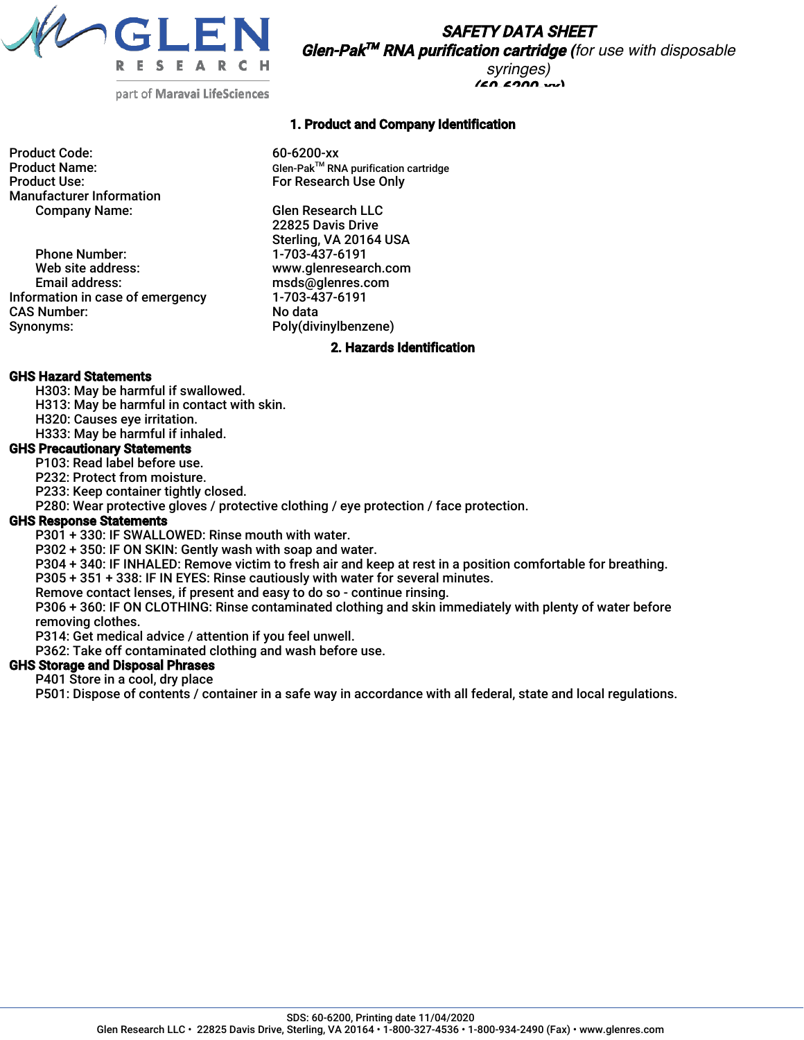

SAFETY DATA SHEET Glen-Pak TM RNA purification cartridge *(for use with disposable syringes)*

 $(60.6200 \times$ 

part of Maravai LifeSciences

Product Code: 60-6200-xx Manufacturer Information Company Name: Glen Research LLC

Phone Number: 1-703-437-6191<br>Web site address: 1-8 www.glenresear Web site address: www.glenresearch.com<br>
Email address: extending the msds@qlenres.com Information in case of emergency CAS Number: No data<br>
Synonyms: No data<br>
Poly(div

## 1. Product and Company Identification

Product Name: Glen-Pak<sup>™</sup> RNA purification cartridge<br>Product Use: Glen-PakTM Research Use Only For Research Use Only

> 22825 Davis Drive Sterling, VA 20164 USA msds@glenres.com<br>1-703-437-6191 Poly(divinylbenzene)

#### 2. Hazards Identification

#### GHS Hazard Statements

- H303: May be harmful if swallowed.
- H313: May be harmful in contact with skin.
- H320: Causes eye irritation.
- H333: May be harmful if inhaled.

## GHS Precautionary Statements

- P103: Read label before use.
- P232: Protect from moisture.
- P233: Keep container tightly closed.
- P280: Wear protective gloves / protective clothing / eye protection / face protection.

### GHS Response Statements

- P301 + 330: IF SWALLOWED: Rinse mouth with water.
- P302 + 350: IF ON SKIN: Gently wash with soap and water.
- P304 + 340: IF INHALED: Remove victim to fresh air and keep at rest in a position comfortable for breathing.
- P305 + 351 + 338: IF IN EYES: Rinse cautiously with water for several minutes.
- Remove contact lenses, if present and easy to do so continue rinsing.
- P306 + 360: IF ON CLOTHING: Rinse contaminated clothing and skin immediately with plenty of water before removing clothes.
- P314: Get medical advice / attention if you feel unwell.
- P362: Take off contaminated clothing and wash before use.

# GHS Storage and Disposal Phrases

P401 Store in a cool, dry place

P501: Dispose of contents / container in a safe way in accordance with all federal, state and local regulations.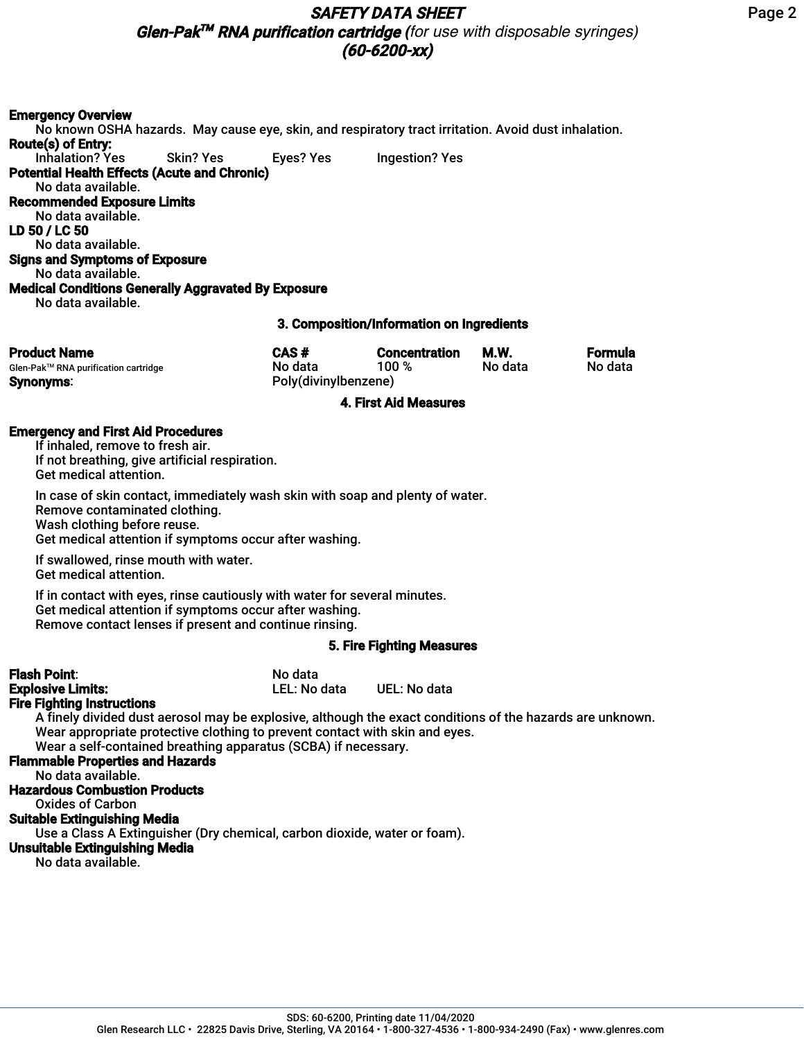# SAFETY DATA SHEET

Glen-Pak TM RNA purification cartridge *(for use with disposable syringes)* (60-6200-xx)

## Emergency Overview

No known OSHA hazards. May cause eye, skin, and respiratory tract irritation. Avoid dust inhalation. Route(s) of Entry: Inhalation? Yes Skin? Yes Eyes? Yes Ingestion? Yes Potential Health Effects (Acute and Chronic) No data available. Recommended Exposure Limits No data available. LD 50 / LC 50 No data available. Signs and Symptoms of Exposure No data available. Medical Conditions Generally Aggravated By Exposure No data available. 3. Composition/Information on Ingredients

| <b>Product Name</b>                  | CAS#                 | <b>Concentration</b> | M.W.    | <b>Formula</b> |
|--------------------------------------|----------------------|----------------------|---------|----------------|
| Glen-Pak™ RNA purification cartridge | No data              | 100 %                | No data | No data        |
| <b>Synonyms:</b>                     | Poly(divinylbenzene) |                      |         |                |

#### 4. First Aid Measures

#### Emergency and First Aid Procedures

If inhaled, remove to fresh air. If not breathing, give artificial respiration. Get medical attention.

In case of skin contact, immediately wash skin with soap and plenty of water. Remove contaminated clothing. Wash clothing before reuse. Get medical attention if symptoms occur after washing.

If swallowed, rinse mouth with water. Get medical attention.

If in contact with eyes, rinse cautiously with water for several minutes. Get medical attention if symptoms occur after washing. Remove contact lenses if present and continue rinsing.

#### 5. Fire Fighting Measures

| <b>Flash Point:</b>                                                         | No data      |                                                                                                           |
|-----------------------------------------------------------------------------|--------------|-----------------------------------------------------------------------------------------------------------|
| <b>Explosive Limits:</b>                                                    | LEL: No data | UEL: No data                                                                                              |
| <b>Fire Fighting Instructions</b>                                           |              |                                                                                                           |
|                                                                             |              | A finely divided dust aerosol may be explosive, although the exact conditions of the hazards are unknown. |
| Wear appropriate protective clothing to prevent contact with skin and eyes. |              |                                                                                                           |
| Wear a self-contained breathing apparatus (SCBA) if necessary.              |              |                                                                                                           |
| <b>Flammable Properties and Hazards</b>                                     |              |                                                                                                           |
| No data available.                                                          |              |                                                                                                           |
| <b>Hazardous Combustion Products</b>                                        |              |                                                                                                           |
| <b>Oxides of Carbon</b>                                                     |              |                                                                                                           |
| <b>Suitable Extinguishing Media</b>                                         |              |                                                                                                           |
| Use a Class A Extinguisher (Dry chemical, carbon dioxide, water or foam).   |              |                                                                                                           |
| <b>Unsuitable Extinguishing Media</b>                                       |              |                                                                                                           |
| No data available.                                                          |              |                                                                                                           |
|                                                                             |              |                                                                                                           |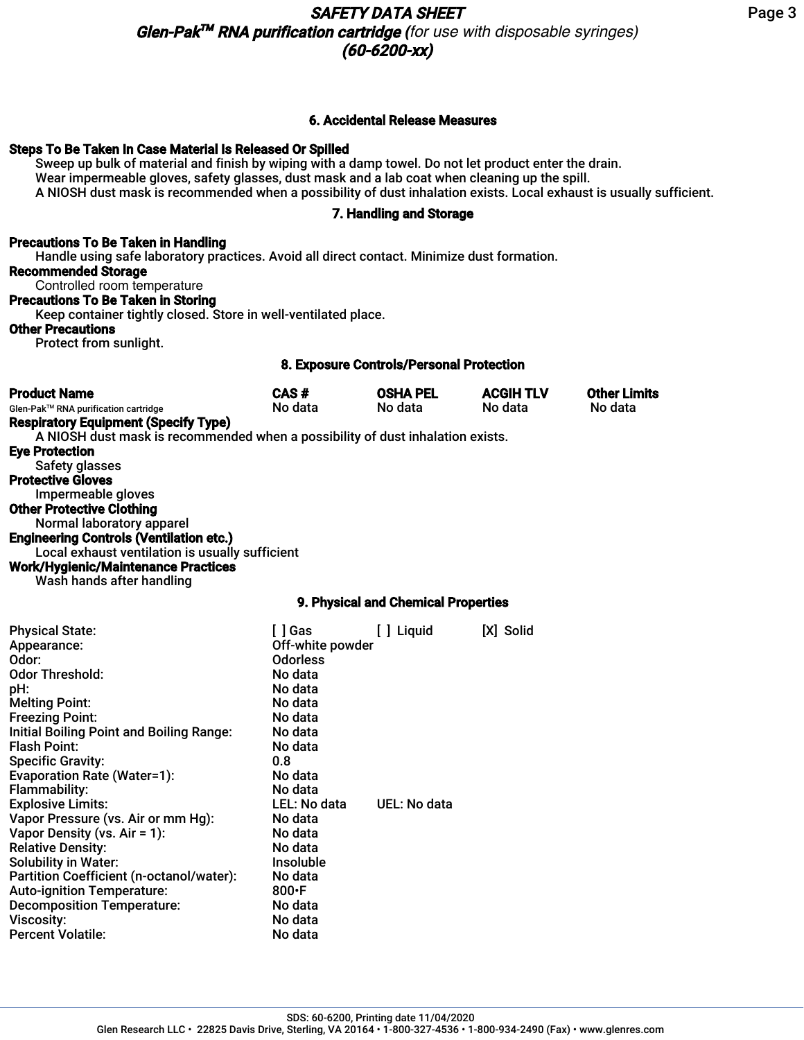# SAFETY DATA SHEET Glen-Pak TM RNA purification cartridge *(for use with disposable syringes)* (60-6200-xx)

## 6. Accidental Release Measures

## Steps To Be Taken In Case Material Is Released Or Spilled

Sweep up bulk of material and finish by wiping with a damp towel. Do not let product enter the drain. Wear impermeable gloves, safety glasses, dust mask and a lab coat when cleaning up the spill. A NIOSH dust mask is recommended when a possibility of dust inhalation exists. Local exhaust is usually sufficient.

# 7. Handling and Storage

# Precautions To Be Taken in Handling

Handle using safe laboratory practices. Avoid all direct contact. Minimize dust formation. Recommended Storage Controlled room temperature Precautions To Be Taken in Storing

Keep container tightly closed. Store in well-ventilated place.

## Other Precautions

Protect from sunlight.

## 8. Exposure Controls/Personal Protection

| <b>Product Name</b><br>Glen-Pak™ RNA purification cartridge<br><b>Respiratory Equipment (Specify Type)</b>                                                                  | CAS#<br>No data                                                      | <b>OSHA PEL</b><br>No data | <b>ACGIH TLV</b><br>No data | <b>Other Limits</b><br>No data |  |
|-----------------------------------------------------------------------------------------------------------------------------------------------------------------------------|----------------------------------------------------------------------|----------------------------|-----------------------------|--------------------------------|--|
| A NIOSH dust mask is recommended when a possibility of dust inhalation exists.<br><b>Eye Protection</b><br>Safety glasses<br><b>Protective Gloves</b><br>Impermeable gloves |                                                                      |                            |                             |                                |  |
| <b>Other Protective Clothing</b><br>Normal laboratory apparel                                                                                                               |                                                                      |                            |                             |                                |  |
| <b>Engineering Controls (Ventilation etc.)</b><br>Local exhaust ventilation is usually sufficient                                                                           |                                                                      |                            |                             |                                |  |
| <b>Work/Hygienic/Maintenance Practices</b><br>Wash hands after handling                                                                                                     |                                                                      |                            |                             |                                |  |
|                                                                                                                                                                             | 9. Physical and Chemical Properties                                  |                            |                             |                                |  |
| <b>Physical State:</b><br>Appearance:<br>Odor:<br><b>Odor Threshold:</b><br>pH:<br>.                                                                                        | [ ] Gas<br>Off-white powder<br><b>Odorless</b><br>No data<br>No data | [ ] Liquid                 | [X] Solid                   |                                |  |

| Odor:                                    | <b>Odorless</b>  |              |
|------------------------------------------|------------------|--------------|
| <b>Odor Threshold:</b>                   | No data          |              |
| pH:                                      | No data          |              |
| <b>Melting Point:</b>                    | No data          |              |
| <b>Freezing Point:</b>                   | No data          |              |
| Initial Boiling Point and Boiling Range: | No data          |              |
| Flash Point:                             | No data          |              |
| <b>Specific Gravity:</b>                 | 0.8              |              |
| <b>Evaporation Rate (Water=1):</b>       | No data          |              |
| Flammability:                            | No data          |              |
| <b>Explosive Limits:</b>                 | LEL: No data     | UEL: No data |
| Vapor Pressure (vs. Air or mm Hg):       | No data          |              |
| Vapor Density (vs. Air = 1):             | No data          |              |
| <b>Relative Density:</b>                 | No data          |              |
| <b>Solubility in Water:</b>              | <b>Insoluble</b> |              |
| Partition Coefficient (n-octanol/water): | No data          |              |
| <b>Auto-ignition Temperature:</b>        | 800 $\cdot$ F    |              |
| <b>Decomposition Temperature:</b>        | No data          |              |
| <b>Viscosity:</b>                        | No data          |              |
| Percent Volatile:                        | No data          |              |
|                                          |                  |              |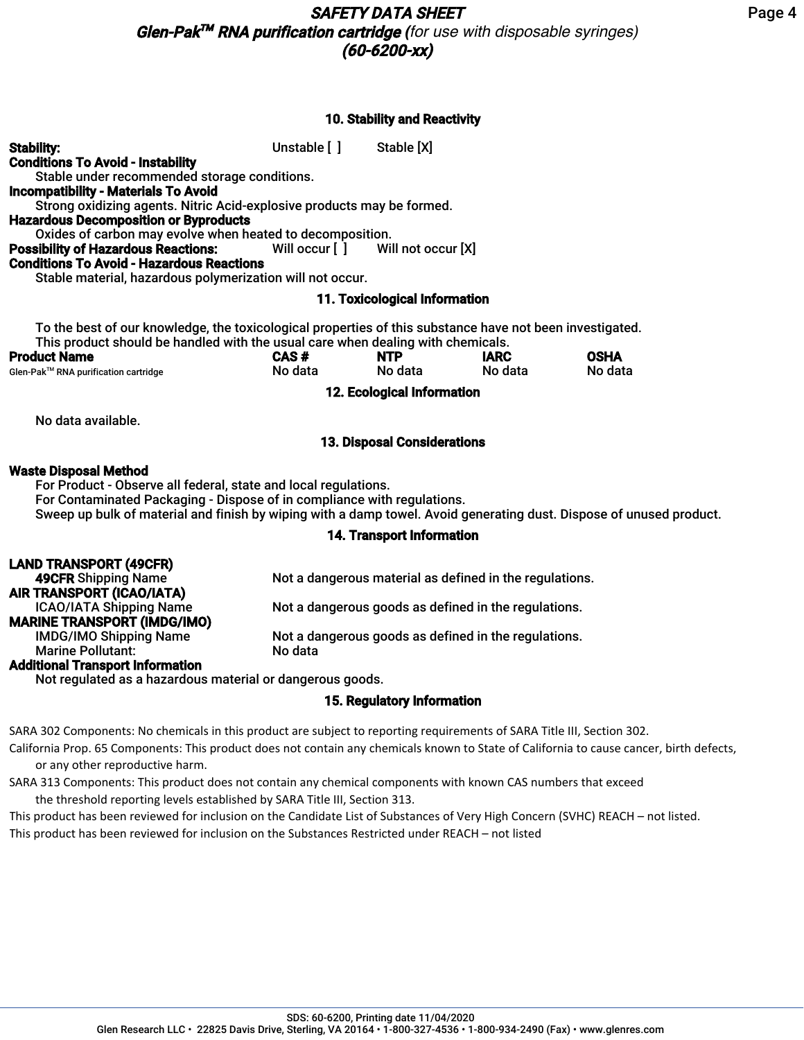## 10. Stability and Reactivity

| <b>Stability:</b><br><b>Conditions To Avoid - Instability</b>                                                                                                                                                                                              | Unstable [ ] Stable [X]       |                                    |                        |                        |  |
|------------------------------------------------------------------------------------------------------------------------------------------------------------------------------------------------------------------------------------------------------------|-------------------------------|------------------------------------|------------------------|------------------------|--|
| Stable under recommended storage conditions.                                                                                                                                                                                                               |                               |                                    |                        |                        |  |
| <b>Incompatibility - Materials To Avoid</b>                                                                                                                                                                                                                |                               |                                    |                        |                        |  |
| Strong oxidizing agents. Nitric Acid-explosive products may be formed.                                                                                                                                                                                     |                               |                                    |                        |                        |  |
| <b>Hazardous Decomposition or Byproducts</b><br>Oxides of carbon may evolve when heated to decomposition.                                                                                                                                                  |                               |                                    |                        |                        |  |
| <b>Possibility of Hazardous Reactions:</b> Will occur [ ] Will not occur [X]                                                                                                                                                                               |                               |                                    |                        |                        |  |
| <b>Conditions To Avoid - Hazardous Reactions</b>                                                                                                                                                                                                           |                               |                                    |                        |                        |  |
| Stable material, hazardous polymerization will not occur.                                                                                                                                                                                                  |                               |                                    |                        |                        |  |
|                                                                                                                                                                                                                                                            |                               | 11. Toxicological Information      |                        |                        |  |
| To the best of our knowledge, the toxicological properties of this substance have not been investigated.<br>This product should be handled with the usual care when dealing with chemicals.<br><b>Product Name</b><br>Glen-Pak™ RNA purification cartridge | CAS#<br>No data <b>canada</b> | NTP<br>No data                     | <b>IARC</b><br>No data | <b>OSHA</b><br>No data |  |
|                                                                                                                                                                                                                                                            |                               | 12. Ecological Information         |                        |                        |  |
| No data available.                                                                                                                                                                                                                                         |                               |                                    |                        |                        |  |
|                                                                                                                                                                                                                                                            |                               | <b>13. Disposal Considerations</b> |                        |                        |  |
| <b>Waste Disposal Method</b>                                                                                                                                                                                                                               |                               |                                    |                        |                        |  |
| For Product - Observe all federal, state and local regulations.                                                                                                                                                                                            |                               |                                    |                        |                        |  |
| For Contaminated Packaging - Dispose of in compliance with regulations.                                                                                                                                                                                    |                               |                                    |                        |                        |  |
| Sweep up bulk of material and finish by wiping with a damp towel. Avoid generating dust. Dispose of unused product.                                                                                                                                        |                               |                                    |                        |                        |  |
|                                                                                                                                                                                                                                                            |                               | <b>14. Transport Information</b>   |                        |                        |  |

#### LAND TRANSPORT (49CFR) **49CFR** Shipping Name **Not a dangerous material as defined in the regulations. AIR TRANSPORT (ICAO/IATA)**<br>ICAO/IATA Shipping Name Not a dangerous goods as defined in the regulations. MARINE TRANSPORT (IMDG/IMO) Not a dangerous goods as defined in the regulations. Marine Pollutant: No data Additional Transport Information

Not regulated as a hazardous material or dangerous goods.

# 15. Regulatory Information

SARA 302 Components: No chemicals in this product are subject to reporting requirements of SARA Title III, Section 302.

California Prop. 65 Components: This product does not contain any chemicals known to State of California to cause cancer, birth defects, or any other reproductive harm.

SARA 313 Components: This product does not contain any chemical components with known CAS numbers that exceed the threshold reporting levels established by SARA Title III, Section 313.

This product has been reviewed for inclusion on the Candidate List of Substances of Very High Concern (SVHC) REACH – not listed. This product has been reviewed for inclusion on the Substances Restricted under REACH – not listed